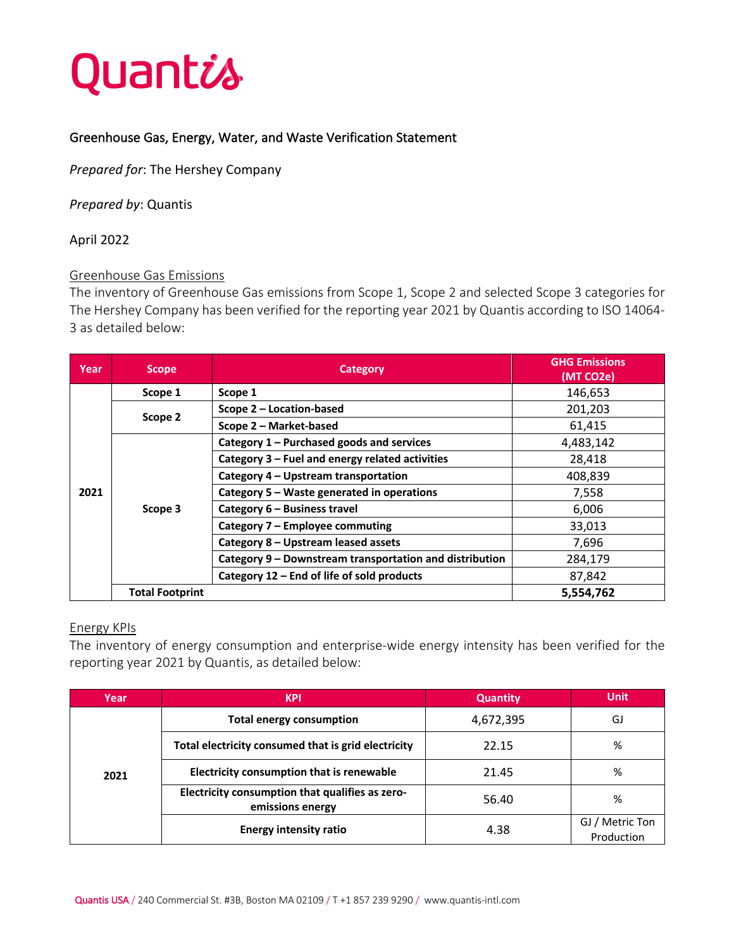

### Greenhouse Gas, Energy, Water, and Waste Verification Statement

*Prepared for*: The Hershey Company

*Prepared by*: Quantis

### April 2022

### Greenhouse Gas Emissions

The inventory of Greenhouse Gas emissions from Scope 1, Scope 2 and selected Scope 3 categories for The Hershey Company has been verified for the reporting year 2021 by Quantis according to ISO 14064- 3 as detailed below:

| Year | <b>Scope</b>           | Category                                                | <b>GHG Emissions</b><br>(MT CO2e) |
|------|------------------------|---------------------------------------------------------|-----------------------------------|
| 2021 | Scope 1                | Scope 1                                                 | 146,653                           |
|      | Scope 2                | Scope 2 - Location-based                                | 201,203                           |
|      |                        | Scope 2 - Market-based                                  | 61,415                            |
|      | Scope 3                | Category 1 - Purchased goods and services               | 4,483,142                         |
|      |                        | Category 3 - Fuel and energy related activities         | 28,418                            |
|      |                        | Category 4 – Upstream transportation                    | 408,839                           |
|      |                        | Category 5 - Waste generated in operations              | 7,558                             |
|      |                        | Category 6 – Business travel                            | 6,006                             |
|      |                        | Category 7 - Employee commuting                         | 33,013                            |
|      |                        | Category 8 – Upstream leased assets                     | 7,696                             |
|      |                        | Category 9 - Downstream transportation and distribution | 284,179                           |
|      |                        | Category 12 – End of life of sold products              | 87,842                            |
|      | <b>Total Footprint</b> |                                                         | 5,554,762                         |

### Energy KPIs

The inventory of energy consumption and enterprise-wide energy intensity has been verified for the reporting year 2021 by Quantis, as detailed below:

| Year | <b>KPI</b>                                                          | <b>Quantity</b> | <b>Unit</b>                   |
|------|---------------------------------------------------------------------|-----------------|-------------------------------|
|      | <b>Total energy consumption</b>                                     | 4,672,395       | GJ                            |
|      | Total electricity consumed that is grid electricity                 | 22.15           | %                             |
| 2021 | Electricity consumption that is renewable                           | 21.45           | %                             |
|      | Electricity consumption that qualifies as zero-<br>emissions energy | 56.40           | %                             |
|      | <b>Energy intensity ratio</b>                                       | 4.38            | GJ / Metric Ton<br>Production |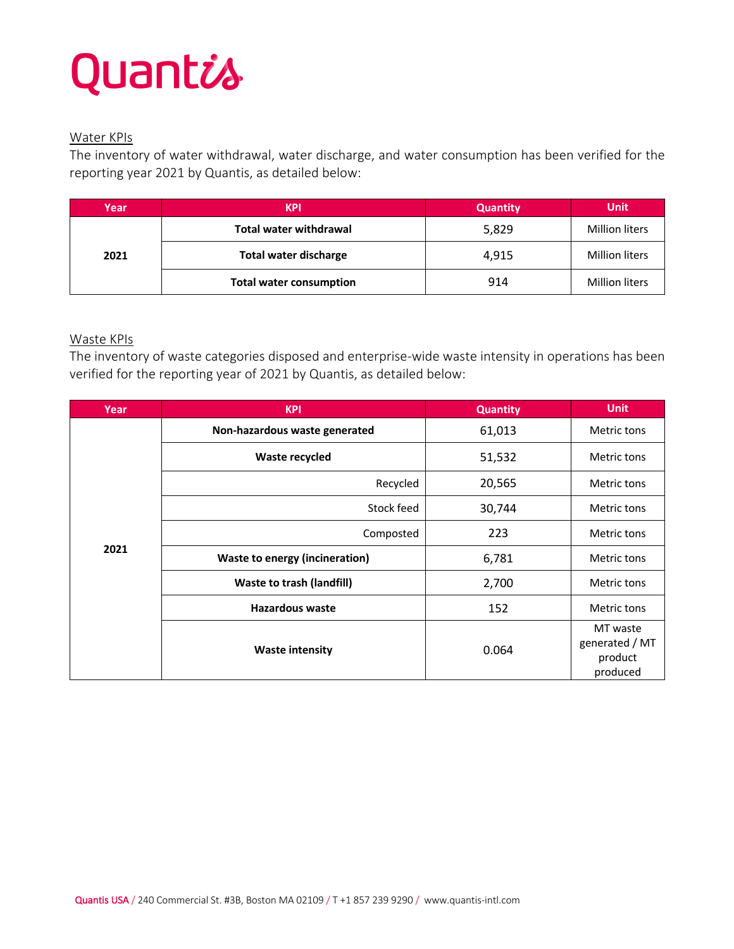### Quantis

### Water KPIs

The inventory of water withdrawal, water discharge, and water consumption has been verified for the reporting year 2021 by Quantis, as detailed below:

| Year | <b>KPI</b>                     | <b>Quantity</b> | <b>Unit</b>           |
|------|--------------------------------|-----------------|-----------------------|
|      | <b>Total water withdrawal</b>  | 5,829           | <b>Million liters</b> |
| 2021 | <b>Total water discharge</b>   | 4,915           | <b>Million liters</b> |
|      | <b>Total water consumption</b> | 914             | <b>Million liters</b> |

### Waste KPIs

The inventory of waste categories disposed and enterprise-wide waste intensity in operations has been verified for the reporting year of 2021 by Quantis, as detailed below:

| Year | <b>KPI</b>                            | <b>Quantity</b> | <b>Unit</b>                                       |
|------|---------------------------------------|-----------------|---------------------------------------------------|
|      | Non-hazardous waste generated         | 61,013          | Metric tons                                       |
|      | Waste recycled                        | 51,532          | Metric tons                                       |
|      | Recycled                              | 20,565          | Metric tons                                       |
|      | Stock feed                            | 30,744          | Metric tons                                       |
|      | Composted                             | 223             | Metric tons                                       |
| 2021 | <b>Waste to energy (incineration)</b> | 6,781           | Metric tons                                       |
|      | <b>Waste to trash (landfill)</b>      | 2,700           | Metric tons                                       |
|      | <b>Hazardous waste</b>                | 152             | Metric tons                                       |
|      | <b>Waste intensity</b>                | 0.064           | MT waste<br>generated / MT<br>product<br>produced |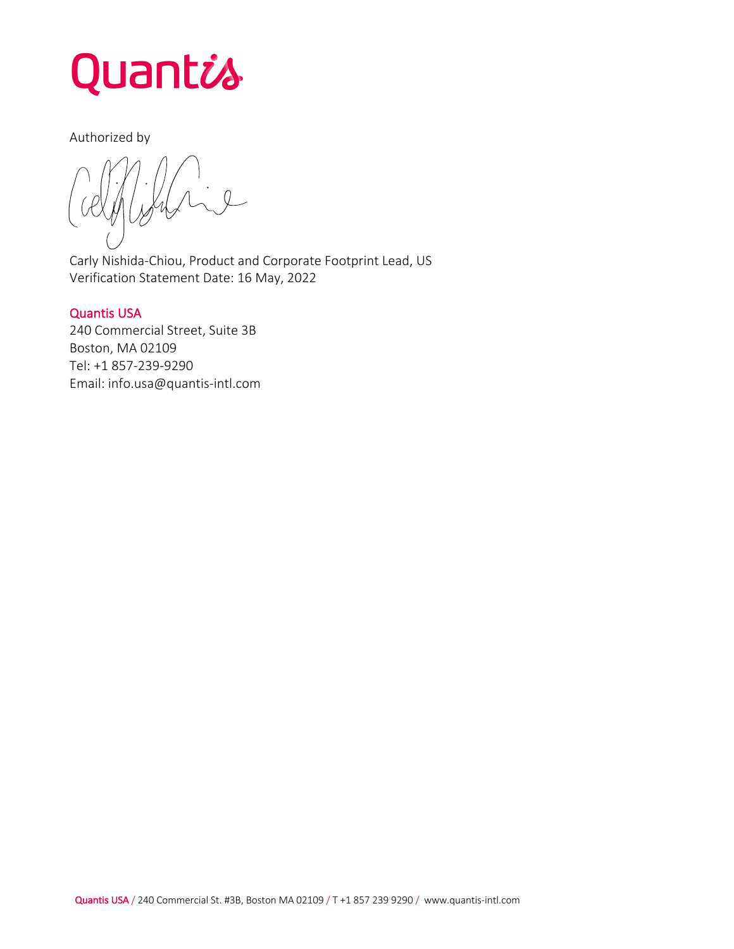

### Authorized by

 $\overline{1}$  $\overline{\phantom{a}}$  $\overline{\phantom{0}}$ 

Carly Nishida-Chiou, Product and Corporate Footprint Lead, US Verification Statement Date: 16 May, 2022

### Quantis USA

240 Commercial Street, Suite 3B Boston, MA 02109 Tel: +1 857-239-9290 Email: info.usa@quantis-intl.com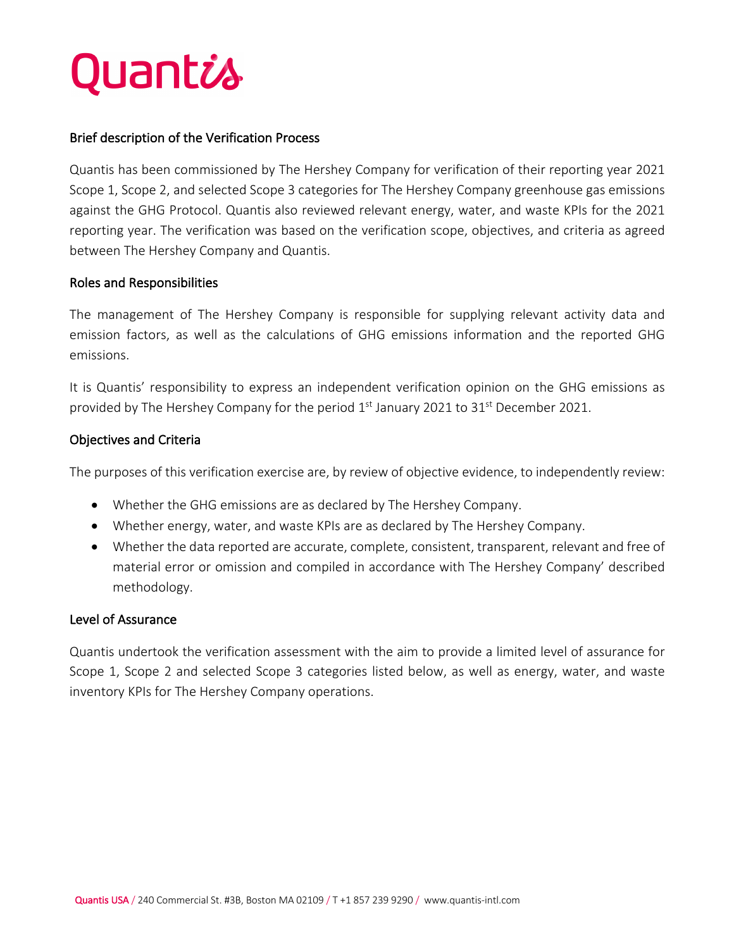## Quantis

### Brief description of the Verification Process

Quantis has been commissioned by The Hershey Company for verification of their reporting year 2021 Scope 1, Scope 2, and selected Scope 3 categories for The Hershey Company greenhouse gas emissions against the GHG Protocol. Quantis also reviewed relevant energy, water, and waste KPIs for the 2021 reporting year. The verification was based on the verification scope, objectives, and criteria as agreed between The Hershey Company and Quantis.

### Roles and Responsibilities

The management of The Hershey Company is responsible for supplying relevant activity data and emission factors, as well as the calculations of GHG emissions information and the reported GHG emissions.

It is Quantis' responsibility to express an independent verification opinion on the GHG emissions as provided by The Hershey Company for the period  $1<sup>st</sup>$  January 2021 to 31<sup>st</sup> December 2021.

### Objectives and Criteria

The purposes of this verification exercise are, by review of objective evidence, to independently review:

- Whether the GHG emissions are as declared by The Hershey Company.
- Whether energy, water, and waste KPIs are as declared by The Hershey Company.
- Whether the data reported are accurate, complete, consistent, transparent, relevant and free of material error or omission and compiled in accordance with The Hershey Company' described methodology.

### Level of Assurance

Quantis undertook the verification assessment with the aim to provide a limited level of assurance for Scope 1, Scope 2 and selected Scope 3 categories listed below, as well as energy, water, and waste inventory KPIs for The Hershey Company operations.